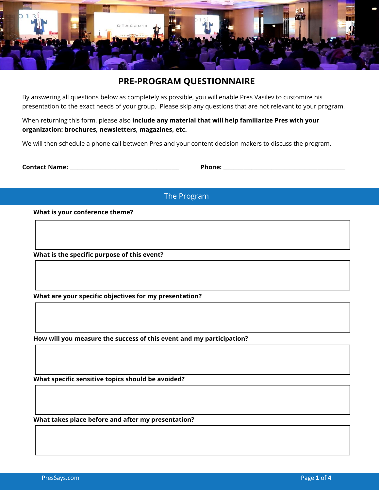

# **PRE-PROGRAM QUESTIONNAIRE**

By answering all questions below as completely as possible, you will enable Pres Vasilev to customize his presentation to the exact needs of your group. Please skip any questions that are not relevant to your program.

When returning this form, please also **include any material that will help familiarize Pres with your organization: brochures, newsletters, magazines, etc.** 

We will then schedule a phone call between Pres and your content decision makers to discuss the program.

**Contact Name: \_\_\_\_\_\_\_\_\_\_\_\_\_\_\_\_\_\_\_\_\_\_\_\_\_\_\_\_\_\_\_\_\_\_\_\_\_\_\_\_\_\_\_ Phone: \_\_\_\_\_\_\_\_\_\_\_\_\_\_\_\_\_\_\_\_\_\_\_\_\_\_\_\_\_\_\_\_\_\_\_\_\_\_\_\_\_\_\_\_\_\_\_\_** 

The Program

**What is your conference theme?** 

**What is the specific purpose of this event?** 

**What are your specific objectives for my presentation?** 

**How will you measure the success of this event and my participation?** 

**What specific sensitive topics should be avoided?** 

**What takes place before and after my presentation?**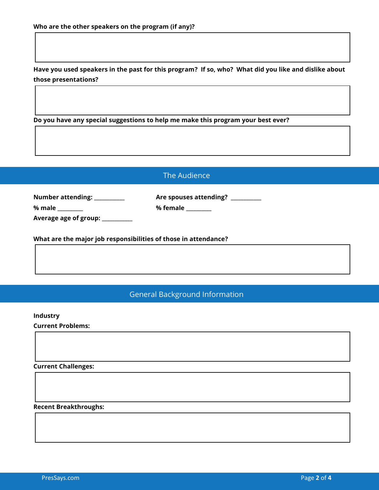**Have you used speakers in the past for this program? If so, who? What did you like and dislike about those presentations?** 

**Do you have any special suggestions to help me make this program your best ever?** 

## The Audience

**Number attending: \_\_\_\_\_\_\_\_\_\_\_\_ Are spouses attending? \_\_\_\_\_\_\_\_\_\_\_\_** 

**Average age of group: \_\_\_\_\_\_\_\_\_\_\_\_** 

**What are the major job responsibilities of those in attendance?** 

**% male \_\_\_\_\_\_\_\_\_\_ % female \_\_\_\_\_\_\_\_\_\_** 

General Background Information

### **Industry**

**Current Problems:** 

**Current Challenges:** 

**Recent Breakthroughs:**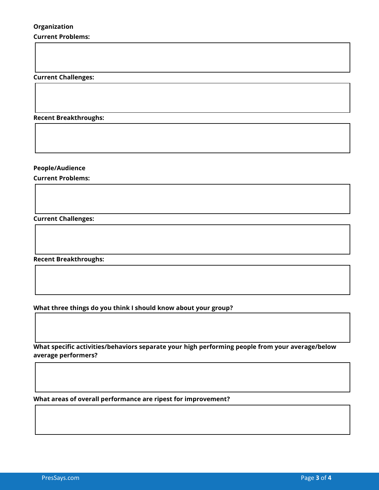#### **Current Problems:**

**Current Challenges:** 

**Recent Breakthroughs:** 

**People/Audience** 

**Current Problems:** 

**Current Challenges:** 

**Recent Breakthroughs:** 

**What three things do you think I should know about your group?** 

**What specific activities/behaviors separate your high performing people from your average/below average performers?** 

**What areas of overall performance are ripest for improvement?**